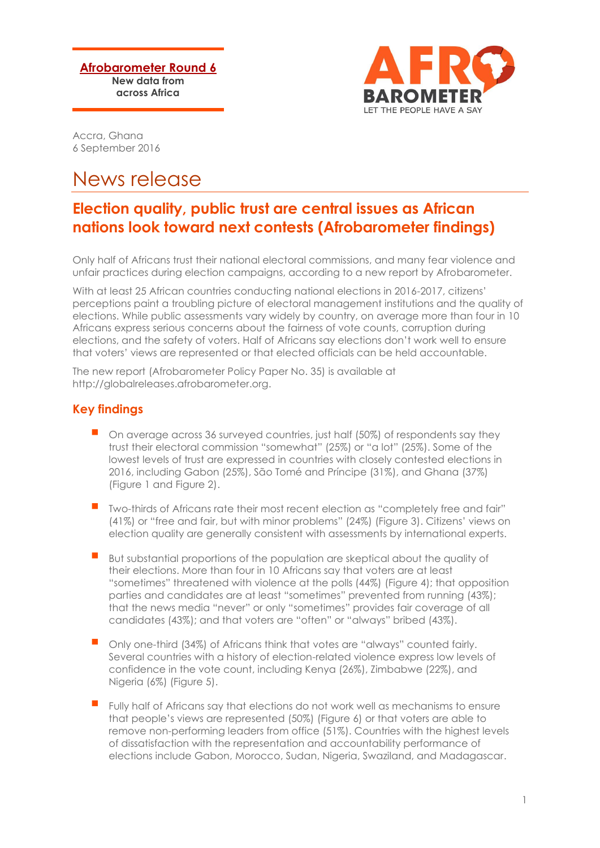**Afrobarometer Round 6 New data from across Africa**



Accra, Ghana 6 September 2016

# News release

## **Election quality, public trust are central issues as African nations look toward next contests (Afrobarometer findings)**

Only half of Africans trust their national electoral commissions, and many fear violence and unfair practices during election campaigns, according to a new report by Afrobarometer.

With at least 25 African countries conducting national elections in 2016-2017, citizens' perceptions paint a troubling picture of electoral management institutions and the quality of elections. While public assessments vary widely by country, on average more than four in 10 Africans express serious concerns about the fairness of vote counts, corruption during elections, and the safety of voters. Half of Africans say elections don't work well to ensure that voters' views are represented or that elected officials can be held accountable.

The new report (Afrobarometer Policy Paper No. 35) is available at http://globalreleases.afrobarometer.org.

### **Key findings**

- On average across 36 surveyed countries, just half (50%) of respondents say they trust their electoral commission "somewhat" (25%) or "a lot" (25%). Some of the lowest levels of trust are expressed in countries with closely contested elections in 2016, including Gabon (25%), São Tomé and Príncipe (31%), and Ghana (37%) (Figure 1 and Figure 2).
- Two-thirds of Africans rate their most recent election as "completely free and fair" (41%) or "free and fair, but with minor problems" (24%) (Figure 3). Citizens' views on election quality are generally consistent with assessments by international experts.
- But substantial proportions of the population are skeptical about the quality of their elections. More than four in 10 Africans say that voters are at least "sometimes" threatened with violence at the polls (44%) (Figure 4); that opposition parties and candidates are at least "sometimes" prevented from running (43%); that the news media "never" or only "sometimes" provides fair coverage of all candidates (43%); and that voters are "often" or "always" bribed (43%).
- Only one-third (34%) of Africans think that votes are "always" counted fairly. Several countries with a history of election-related violence express low levels of confidence in the vote count, including Kenya (26%), Zimbabwe (22%), and Nigeria (6%) (Figure 5).
- Fully half of Africans say that elections do not work well as mechanisms to ensure that people's views are represented (50%) (Figure 6) or that voters are able to remove non-performing leaders from office (51%). Countries with the highest levels of dissatisfaction with the representation and accountability performance of elections include Gabon, Morocco, Sudan, Nigeria, Swaziland, and Madagascar.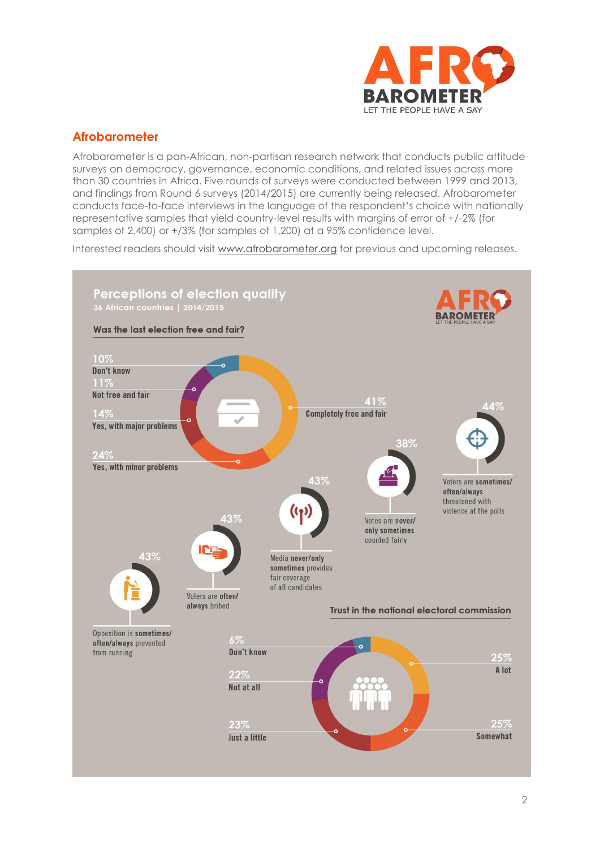

### **Afrobarometer**

Afrobarometer is a pan-African, non-partisan research network that conducts public attitude surveys on democracy, governance, economic conditions, and related issues across more than 30 countries in Africa. Five rounds of surveys were conducted between 1999 and 2013, and findings from Round 6 surveys (2014/2015) are currently being released. Afrobarometer conducts face-to-face interviews in the language of the respondent's choice with nationally representative samples that yield country-level results with margins of error of +/-2% (for samples of 2,400) or +/3% (for samples of 1,200) at a 95% confidence level.

Interested readers should visit [www.afrobarometer.org](http://www.afrobarometer.org/) for previous and upcoming releases.

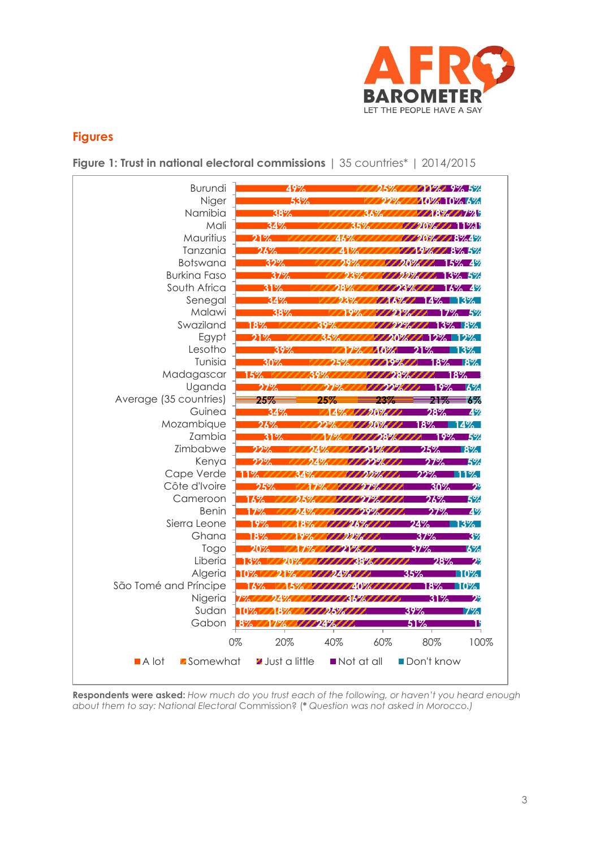

### **Figures**

**Figure 1: Trust in national electoral commissions** | 35 countries\* | 2014/2015



**Respondents were asked:** *How much do you trust each of the following, or haven't you heard enough about them to say: National Electoral* Commission? (*\* Question was not asked in Morocco.)*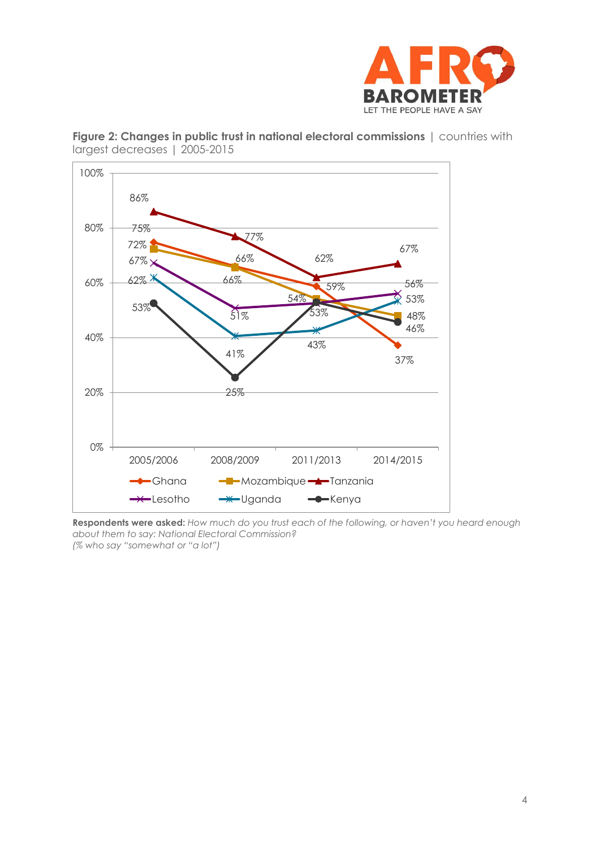



**Figure 2: Changes in public trust in national electoral commissions** | countries with largest decreases | 2005-2015

**Respondents were asked:** *How much do you trust each of the following, or haven't you heard enough about them to say: National Electoral Commission? (% who say "somewhat or "a lot")*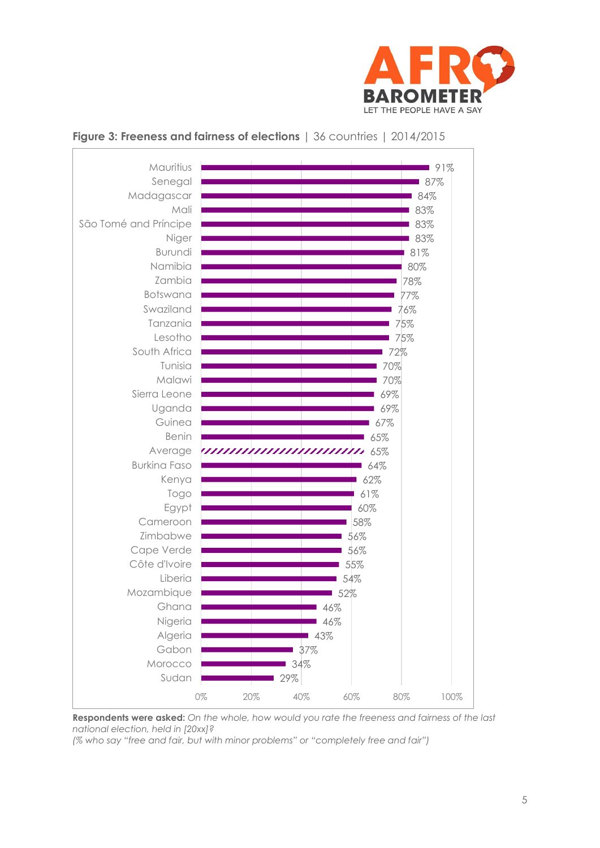

#### 29% 34% 37% 43% 46% 46% 52% 54% 55% 56% 56% 58% 60% 61% 62% 64% 65% 65% 67% 69% 69% 70% 70% 72% 75% 75% 76% 77% 78% 80% 81% 83% 83% 83% 84% 87% 91% 0% 20% 40% 60% 80% 100% Sudan Morocco Gabon Algeria Nigeria Ghana Mozambique Liberia Côte d'Ivoire Cape Verde Zimbabwe Cameroon Egypt Togo Kenya Burkina Faso Average Benin Guinea Uganda Sierra Leone Malawi Tunisia South Africa Lesotho Tanzania Swaziland Botswana Zambia Namibia Burundi Niger São Tomé and Príncipe Mali Madagascar Senegal Mauritius

### **Figure 3: Freeness and fairness of elections** | 36 countries | 2014/2015

**Respondents were asked:** *On the whole, how would you rate the freeness and fairness of the last national election, held in [20xx]?*

*(% who say "free and fair, but with minor problems" or "completely free and fair")*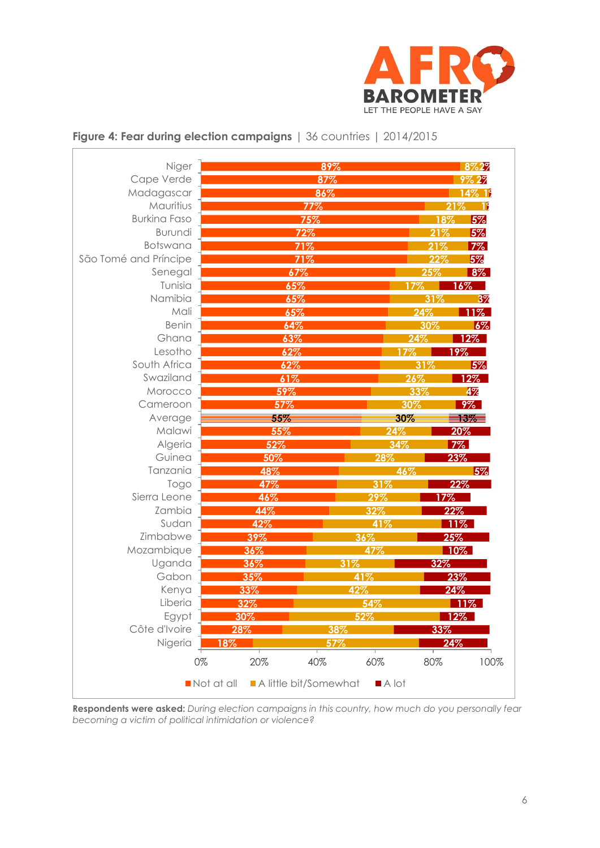

| Cape Verde<br>87%<br>Madagascar<br>86%<br>Mauritius<br>77%<br><b>Burkina Faso</b><br>75%<br>72%<br>Burundi<br>Botswana<br>71%<br>São Tomé and Príncipe<br>71%<br>Senegal<br>67%<br>Tunisia<br>65%<br>Namibia<br>65%<br>Mali<br>65%<br><b>Benin</b><br>64%<br>Ghana<br>63%<br>Lesotho<br>62%<br>South Africa<br>62%<br>Swaziland<br>61%<br>59%<br>Morocco<br>Cameroon<br>57%<br>Average<br>55%<br>Malawi<br>55%<br>Algeria<br>52%<br>Guinea<br>50%<br>Tanzania<br>48%<br>47%<br>Togo<br>Sierra Leone<br>46%<br>Zambia<br>44%<br>Sudan<br>42%<br>Zimbabwe<br>39% | 17%<br>24%<br>17%<br>26%<br>33%<br>30%<br>30%<br>24%<br>34%<br>28% | 9% 29<br>14% 19<br>21%<br>- 19<br>5%<br>18%<br>5%<br>21%<br>$7\%$<br>21%<br>5%<br>22%<br>8%<br>25%<br>$16\%$<br>3%<br>31%<br>$11\%$<br>24%<br>30%<br>$6\%$<br>12%<br><u> 19%</u><br>5%<br>31%<br>$12\%$<br>4%<br>$9\%$<br>13%<br>20%<br>$7\%$ |
|----------------------------------------------------------------------------------------------------------------------------------------------------------------------------------------------------------------------------------------------------------------------------------------------------------------------------------------------------------------------------------------------------------------------------------------------------------------------------------------------------------------------------------------------------------------|--------------------------------------------------------------------|-----------------------------------------------------------------------------------------------------------------------------------------------------------------------------------------------------------------------------------------------|
|                                                                                                                                                                                                                                                                                                                                                                                                                                                                                                                                                                |                                                                    |                                                                                                                                                                                                                                               |
|                                                                                                                                                                                                                                                                                                                                                                                                                                                                                                                                                                |                                                                    |                                                                                                                                                                                                                                               |
|                                                                                                                                                                                                                                                                                                                                                                                                                                                                                                                                                                |                                                                    |                                                                                                                                                                                                                                               |
|                                                                                                                                                                                                                                                                                                                                                                                                                                                                                                                                                                |                                                                    |                                                                                                                                                                                                                                               |
|                                                                                                                                                                                                                                                                                                                                                                                                                                                                                                                                                                |                                                                    |                                                                                                                                                                                                                                               |
|                                                                                                                                                                                                                                                                                                                                                                                                                                                                                                                                                                |                                                                    |                                                                                                                                                                                                                                               |
|                                                                                                                                                                                                                                                                                                                                                                                                                                                                                                                                                                |                                                                    |                                                                                                                                                                                                                                               |
|                                                                                                                                                                                                                                                                                                                                                                                                                                                                                                                                                                |                                                                    |                                                                                                                                                                                                                                               |
|                                                                                                                                                                                                                                                                                                                                                                                                                                                                                                                                                                |                                                                    |                                                                                                                                                                                                                                               |
|                                                                                                                                                                                                                                                                                                                                                                                                                                                                                                                                                                |                                                                    |                                                                                                                                                                                                                                               |
|                                                                                                                                                                                                                                                                                                                                                                                                                                                                                                                                                                |                                                                    |                                                                                                                                                                                                                                               |
|                                                                                                                                                                                                                                                                                                                                                                                                                                                                                                                                                                |                                                                    |                                                                                                                                                                                                                                               |
|                                                                                                                                                                                                                                                                                                                                                                                                                                                                                                                                                                |                                                                    |                                                                                                                                                                                                                                               |
|                                                                                                                                                                                                                                                                                                                                                                                                                                                                                                                                                                |                                                                    |                                                                                                                                                                                                                                               |
|                                                                                                                                                                                                                                                                                                                                                                                                                                                                                                                                                                |                                                                    |                                                                                                                                                                                                                                               |
|                                                                                                                                                                                                                                                                                                                                                                                                                                                                                                                                                                |                                                                    |                                                                                                                                                                                                                                               |
|                                                                                                                                                                                                                                                                                                                                                                                                                                                                                                                                                                |                                                                    |                                                                                                                                                                                                                                               |
|                                                                                                                                                                                                                                                                                                                                                                                                                                                                                                                                                                |                                                                    |                                                                                                                                                                                                                                               |
|                                                                                                                                                                                                                                                                                                                                                                                                                                                                                                                                                                |                                                                    |                                                                                                                                                                                                                                               |
|                                                                                                                                                                                                                                                                                                                                                                                                                                                                                                                                                                |                                                                    |                                                                                                                                                                                                                                               |
|                                                                                                                                                                                                                                                                                                                                                                                                                                                                                                                                                                |                                                                    |                                                                                                                                                                                                                                               |
|                                                                                                                                                                                                                                                                                                                                                                                                                                                                                                                                                                |                                                                    | 23%                                                                                                                                                                                                                                           |
|                                                                                                                                                                                                                                                                                                                                                                                                                                                                                                                                                                | 46%                                                                | 5%                                                                                                                                                                                                                                            |
|                                                                                                                                                                                                                                                                                                                                                                                                                                                                                                                                                                | 31%                                                                | 22%                                                                                                                                                                                                                                           |
|                                                                                                                                                                                                                                                                                                                                                                                                                                                                                                                                                                | 29%                                                                | 17%                                                                                                                                                                                                                                           |
|                                                                                                                                                                                                                                                                                                                                                                                                                                                                                                                                                                | 32%                                                                | 22%                                                                                                                                                                                                                                           |
|                                                                                                                                                                                                                                                                                                                                                                                                                                                                                                                                                                | 41%                                                                | 11%                                                                                                                                                                                                                                           |
|                                                                                                                                                                                                                                                                                                                                                                                                                                                                                                                                                                | 36%                                                                | 25%                                                                                                                                                                                                                                           |
| Mozambique<br>36%                                                                                                                                                                                                                                                                                                                                                                                                                                                                                                                                              | 47%                                                                | $10\%$                                                                                                                                                                                                                                        |
| Uganda<br>36%<br>31%                                                                                                                                                                                                                                                                                                                                                                                                                                                                                                                                           |                                                                    | 32%                                                                                                                                                                                                                                           |
| Gabon<br>35%                                                                                                                                                                                                                                                                                                                                                                                                                                                                                                                                                   | 41%                                                                | 23%                                                                                                                                                                                                                                           |
| Kenya<br>33%                                                                                                                                                                                                                                                                                                                                                                                                                                                                                                                                                   | 42%                                                                | 24%                                                                                                                                                                                                                                           |
| Liberia<br>$32\%$                                                                                                                                                                                                                                                                                                                                                                                                                                                                                                                                              | 54%                                                                | 11%                                                                                                                                                                                                                                           |
| Egypt<br>30%                                                                                                                                                                                                                                                                                                                                                                                                                                                                                                                                                   | 52%                                                                | 12%                                                                                                                                                                                                                                           |
| Côte d'Ivoire<br>28%<br>38%                                                                                                                                                                                                                                                                                                                                                                                                                                                                                                                                    |                                                                    | 33%                                                                                                                                                                                                                                           |
| Nigeria<br>57%<br>18%                                                                                                                                                                                                                                                                                                                                                                                                                                                                                                                                          |                                                                    | 24%                                                                                                                                                                                                                                           |
| 0%<br>20%<br>40%                                                                                                                                                                                                                                                                                                                                                                                                                                                                                                                                               | 60%                                                                | 80%<br>100%                                                                                                                                                                                                                                   |

### **Figure 4: Fear during election campaigns** | 36 countries | 2014/2015

 $\overline{1}$ 

**Respondents were asked:** *During election campaigns in this country, how much do you personally fear becoming a victim of political intimidation or violence?*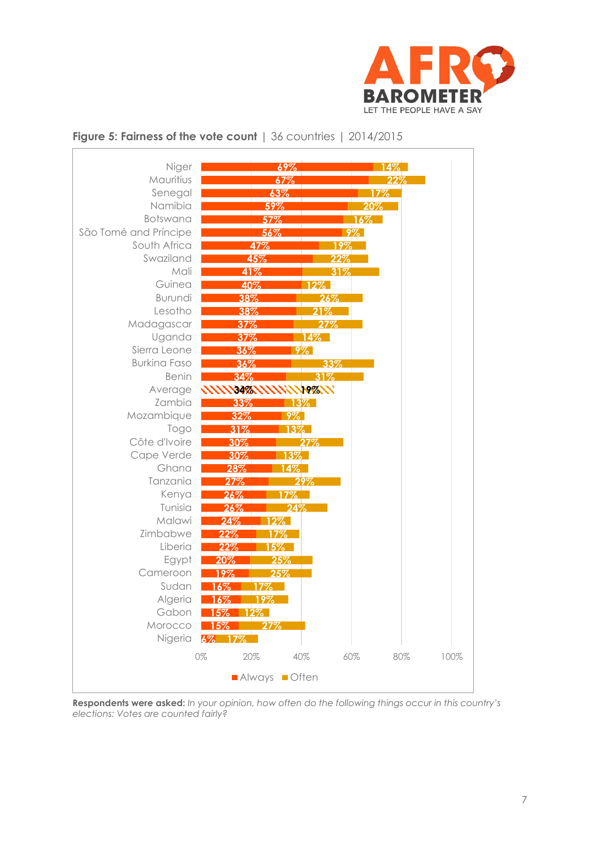



### **Figure 5: Fairness of the vote count** | 36 countries | 2014/2015

**Respondents were asked:** *In your opinion, how often do the following things occur in this country's elections: Votes are counted fairly?*